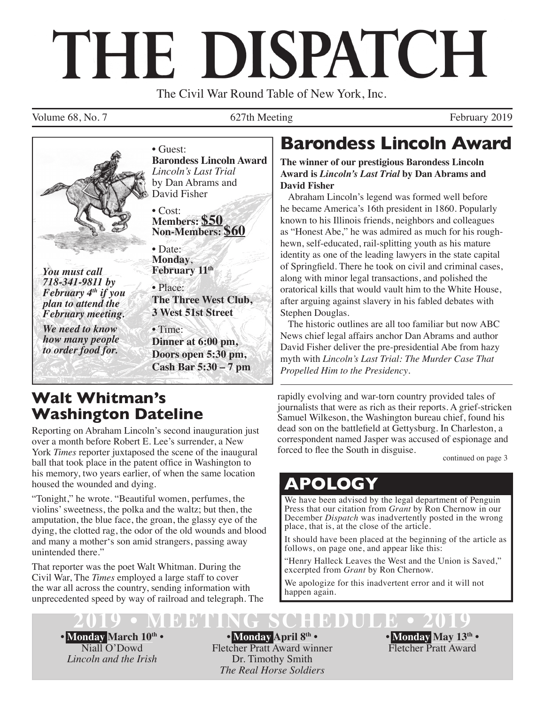# THE DISPATCH

The Civil War Round Table of New York, Inc.

Volume 68, No. 7 627th Meeting February 2019



*718-341-9811 by February 4th if you plan to attend the February meeting.* 

*We need to know how many people to order food for.*

• Guest: **Barondess Lincoln Award** *Lincoln's Last Trial* by Dan Abrams and David Fisher

• Cost: **Members: \$50 Non-Members: \$60**

• Date:<br>**Monday**, **Monday**, **February 11th**

• Place: **The Three West Club, 3 West 51st Street** 

• Time: **Dinner at 6:00 pm, Doors open 5:30 pm, Cash Bar 5:30 – 7 pm**

## **Walt Whitman's Washington Dateline**

Reporting on Abraham Lincoln's second inauguration just over a month before Robert E. Lee's surrender, a New York *Times* reporter juxtaposed the scene of the inaugural ball that took place in the patent office in Washington to his memory, two years earlier, of when the same location housed the wounded and dying.

"Tonight," he wrote. "Beautiful women, perfumes, the violins' sweetness, the polka and the waltz; but then, the amputation, the blue face, the groan, the glassy eye of the dying, the clotted rag, the odor of the old wounds and blood and many a mother's son amid strangers, passing away unintended there."

That reporter was the poet Walt Whitman. During the Civil War, The *Times* employed a large staff to cover the war all across the country, sending information with unprecedented speed by way of railroad and telegraph. The

## **Barondess Lincoln Award**

**The winner of our prestigious Barondess Lincoln Award is** *Lincoln's Last Trial* **by Dan Abrams and David Fisher**

Abraham Lincoln's legend was formed well before he became America's 16th president in 1860. Popularly known to his Illinois friends, neighbors and colleagues as "Honest Abe," he was admired as much for his roughhewn, self-educated, rail-splitting youth as his mature identity as one of the leading lawyers in the state capital of Springfield. There he took on civil and criminal cases, along with minor legal transactions, and polished the oratorical kills that would vault him to the White House, after arguing against slavery in his fabled debates with Stephen Douglas.

The historic outlines are all too familiar but now ABC News chief legal affairs anchor Dan Abrams and author David Fisher deliver the pre-presidential Abe from hazy myth with *Lincoln's Last Trial: The Murder Case That Propelled Him to the Presidency*.

rapidly evolving and war-torn country provided tales of journalists that were as rich as their reports. A grief-stricken Samuel Wilkeson, the Washington bureau chief, found his dead son on the battlefield at Gettysburg. In Charleston, a correspondent named Jasper was accused of espionage and forced to flee the South in disguise.

continued on page 3

## **APOLOGY**

We have been advised by the legal department of Penguin Press that our citation from *Grant* by Ron Chernow in our December *Dispatch* was inadvertently posted in the wrong place, that is, at the close of the article.

It should have been placed at the beginning of the article as follows, on page one, and appear like this:

"Henry Halleck Leaves the West and the Union is Saved," excerpted from *Grant* by Ron Chernow.

We apologize for this inadvertent error and it will not happen again.

**2019 • MEETING SCHEDULE • 2019**

**• Monday March 10th •** Niall O'Dowd *Lincoln and the Irish*

**• Monday April 8th •** Fletcher Pratt Award winner Dr. Timothy Smith *The Real Horse Soldiers*

**• Monday May 13th •** Fletcher Pratt Award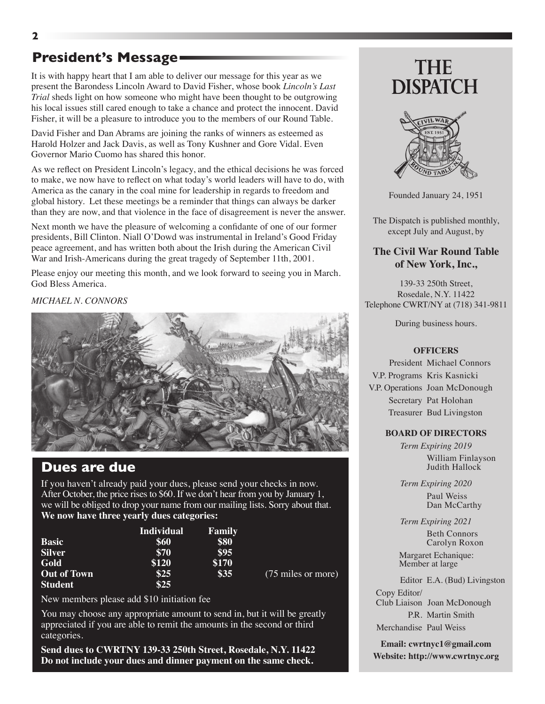## **President's Message**

It is with happy heart that I am able to deliver our message for this year as we present the Barondess Lincoln Award to David Fisher, whose book *Lincoln's Last Trial* sheds light on how someone who might have been thought to be outgrowing his local issues still cared enough to take a chance and protect the innocent. David Fisher, it will be a pleasure to introduce you to the members of our Round Table.

David Fisher and Dan Abrams are joining the ranks of winners as esteemed as Harold Holzer and Jack Davis, as well as Tony Kushner and Gore Vidal. Even Governor Mario Cuomo has shared this honor.

As we reflect on President Lincoln's legacy, and the ethical decisions he was forced to make, we now have to reflect on what today's world leaders will have to do, with America as the canary in the coal mine for leadership in regards to freedom and global history. Let these meetings be a reminder that things can always be darker than they are now, and that violence in the face of disagreement is never the answer.

Next month we have the pleasure of welcoming a confidante of one of our former presidents, Bill Clinton. Niall O'Dowd was instrumental in Ireland's Good Friday peace agreement, and has written both about the Irish during the American Civil War and Irish-Americans during the great tragedy of September 11th, 2001.

Please enjoy our meeting this month, and we look forward to seeing you in March. God Bless America.

#### *MICHAEL N. CONNORS*



### **Dues are due**

If you haven't already paid your dues, please send your checks in now. After October, the price rises to \$60. If we don't hear from you by January 1, we will be obliged to drop your name from our mailing lists. Sorry about that. **We now have three yearly dues categories:**

|                    | <b>Individual</b> | Family |                    |
|--------------------|-------------------|--------|--------------------|
| <b>Basic</b>       | \$60              | \$80   |                    |
| <b>Silver</b>      | \$70              | \$95   |                    |
| Gold               | \$120             | \$170  |                    |
| <b>Out of Town</b> | \$25              | \$35   | (75 miles or more) |
| <b>Student</b>     | \$25              |        |                    |

New members please add \$10 initiation fee

You may choose any appropriate amount to send in, but it will be greatly appreciated if you are able to remit the amounts in the second or third categories.

**Send dues to CWRTNY 139-33 250th Street, Rosedale, N.Y. 11422 Do not include your dues and dinner payment on the same check.**

# **THE DISPATCH**



Founded January 24, 1951

The Dispatch is published monthly, except July and August, by

#### **The Civil War Round Table of New York, Inc.,**

139-33 250th Street, Rosedale, N.Y. 11422 Telephone CWRT/NY at (718) 341-9811

During business hours.

#### **OFFICERS**

President Michael Connors V.P. Programs Kris Kasnicki V.P. Operations Joan McDonough Secretary Pat Holohan Treasurer Bud Livingston

#### **BOARD OF DIRECTORS**

*Term Expiring 2019* William Finlayson Judith Hallock

*Term Expiring 2020* Paul Weiss Dan McCarthy

*Term Expiring 2021*

 Beth Connors Carolyn Roxon

 Margaret Echanique: Member at large

Editor E.A. (Bud) Livingston Copy Editor/ Club Liaison Joan McDonough P.R. Martin Smith

Merchandise Paul Weiss

**Email: cwrtnyc1@gmail.com Website: http://www.cwrtnyc.org**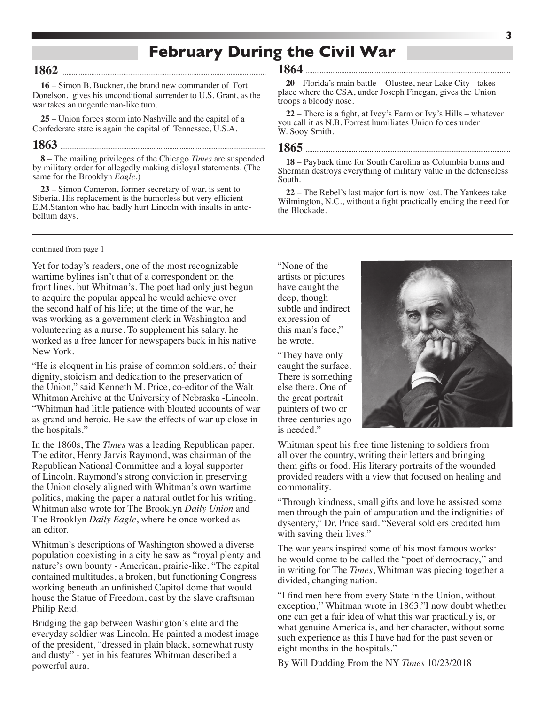## **February During the Civil War**

#### **1862**

**16** – Simon B. Buckner, the brand new commander of Fort Donelson, gives his unconditional surrender to U.S. Grant, as the war takes an ungentleman-like turn.

**25** – Union forces storm into Nashville and the capital of a Confederate state is again the capital of Tennessee, U.S.A.

#### **1863**

**8** – The mailing privileges of the Chicago *Times* are suspended by military order for allegedly making disloyal statements. (The same for the Brooklyn *Eagle.*)

**23** – Simon Cameron, former secretary of war, is sent to Siberia. His replacement is the humorless but very efficient E.M.Stanton who had badly hurt Lincoln with insults in antebellum days.

#### continued from page 1

Yet for today's readers, one of the most recognizable wartime bylines isn't that of a correspondent on the front lines, but Whitman's. The poet had only just begun to acquire the popular appeal he would achieve over the second half of his life; at the time of the war, he was working as a government clerk in Washington and volunteering as a nurse. To supplement his salary, he worked as a free lancer for newspapers back in his native New York.

"He is eloquent in his praise of common soldiers, of their dignity, stoicism and dedication to the preservation of the Union," said Kenneth M. Price, co-editor of the Walt Whitman Archive at the University of Nebraska -Lincoln. "Whitman had little patience with bloated accounts of war as grand and heroic. He saw the effects of war up close in the hospitals."

In the 1860s, The *Times* was a leading Republican paper. The editor, Henry Jarvis Raymond, was chairman of the Republican National Committee and a loyal supporter of Lincoln. Raymond's strong conviction in preserving the Union closely aligned with Whitman's own wartime politics, making the paper a natural outlet for his writing. Whitman also wrote for The Brooklyn *Daily Union* and The Brooklyn *Daily Eagle*, where he once worked as an editor.

Whitman's descriptions of Washington showed a diverse population coexisting in a city he saw as "royal plenty and nature's own bounty - American, prairie-like. "The capital contained multitudes, a broken, but functioning Congress working beneath an unfinished Capitol dome that would house the Statue of Freedom, cast by the slave craftsman Philip Reid.

Bridging the gap between Washington's elite and the everyday soldier was Lincoln. He painted a modest image of the president, "dressed in plain black, somewhat rusty and dusty" - yet in his features Whitman described a powerful aura.

#### **1864**

**20** – Florida's main battle – Olustee, near Lake City- takes place where the CSA, under Joseph Finegan, gives the Union troops a bloody nose.

**22** – There is a fight, at Ivey's Farm or Ivy's Hills – whatever you call it as N.B. Forrest humiliates Union forces under W. Sooy Smith.

#### **1865**

**18** – Payback time for South Carolina as Columbia burns and Sherman destroys everything of military value in the defenseless South.

**22** – The Rebel's last major fort is now lost. The Yankees take Wilmington, N.C., without a fight practically ending the need for the Blockade.

"None of the artists or pictures have caught the deep, though subtle and indirect expression of this man's face," he wrote.

"They have only caught the surface. There is something else there. One of the great portrait painters of two or three centuries ago is needed."



Whitman spent his free time listening to soldiers from all over the country, writing their letters and bringing them gifts or food. His literary portraits of the wounded provided readers with a view that focused on healing and commonality.

"Through kindness, small gifts and love he assisted some men through the pain of amputation and the indignities of dysentery," Dr. Price said. "Several soldiers credited him with saving their lives."

The war years inspired some of his most famous works: he would come to be called the "poet of democracy,'' and in writing for The *Times*, Whitman was piecing together a divided, changing nation.

"I find men here from every State in the Union, without exception,'' Whitman wrote in 1863."I now doubt whether one can get a fair idea of what this war practically is, or what genuine America is, and her character, without some such experience as this I have had for the past seven or eight months in the hospitals."

By Will Dudding From the NY *Times* 10/23/2018